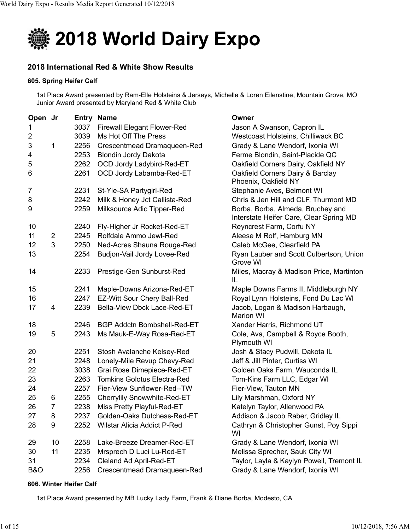

# **2018 International Red & White Show Results**

## **605. Spring Heifer Calf**

1st Place Award presented by Ram-Elle Holsteins & Jerseys, Michelle & Loren Eilenstine, Mountain Grove, MO Junior Award presented by Maryland Red & White Club

| Open Jr                 |                |      | <b>Entry Name</b>                  | Owner                                                                        |
|-------------------------|----------------|------|------------------------------------|------------------------------------------------------------------------------|
| 1                       |                | 3037 | <b>Firewall Elegant Flower-Red</b> | Jason A Swanson, Capron IL                                                   |
| $\overline{\mathbf{c}}$ |                | 3039 | Ms Hot Off The Press               | Westcoast Holsteins, Chilliwack BC                                           |
| 3                       | 1              | 2256 | Crescentmead Dramaqueen-Red        | Grady & Lane Wendorf, Ixonia WI                                              |
| 4                       |                | 2253 | <b>Blondin Jordy Dakota</b>        | Ferme Blondin, Saint-Placide QC                                              |
| 5                       |                | 2262 | OCD Jordy Ladybird-Red-ET          | Oakfield Corners Dairy, Oakfield NY                                          |
| 6                       |                | 2261 | OCD Jordy Labamba-Red-ET           | Oakfield Corners Dairy & Barclay<br>Phoenix, Oakfield NY                     |
| 7                       |                | 2231 | St-Yle-SA Partygirl-Red            | Stephanie Aves, Belmont WI                                                   |
| 8                       |                | 2242 | Milk & Honey Jct Callista-Red      | Chris & Jen Hill and CLF, Thurmont MD                                        |
| 9                       |                | 2259 | Milksource Adic Tipper-Red         | Borba, Borba, Almeda, Bruchey and<br>Interstate Heifer Care, Clear Spring MD |
| 10                      |                | 2240 | Fly-Higher Jr Rocket-Red-ET        | Reyncrest Farm, Corfu NY                                                     |
| 11                      | $\overline{2}$ | 2245 | Rolfdale Ammo Jewl-Red             | Aleese M Rolf, Hamburg MN                                                    |
| 12                      | 3              | 2250 | Ned-Acres Shauna Rouge-Red         | Caleb McGee, Clearfield PA                                                   |
| 13                      |                | 2254 | Budjon-Vail Jordy Lovee-Red        | Ryan Lauber and Scott Culbertson, Union<br>Grove WI                          |
| 14                      |                | 2233 | Prestige-Gen Sunburst-Red          | Miles, Macray & Madison Price, Martinton<br>IL                               |
| 15                      |                | 2241 | Maple-Downs Arizona-Red-ET         | Maple Downs Farms II, Middleburgh NY                                         |
| 16                      |                | 2247 | EZ-Witt Sour Chery Ball-Red        | Royal Lynn Holsteins, Fond Du Lac WI                                         |
| 17                      | 4              | 2239 | Bella-View Dbck Lace-Red-ET        | Jacob, Logan & Madison Harbaugh,<br><b>Marion WI</b>                         |
| 18                      |                | 2246 | BGP Addctn Bombshell-Red-ET        | Xander Harris, Richmond UT                                                   |
| 19                      | 5              | 2243 | Ms Mauk-E-Way Rosa-Red-ET          | Cole, Ava, Campbell & Royce Booth,<br>Plymouth WI                            |
| 20                      |                | 2251 | Stosh Avalanche Kelsey-Red         | Josh & Stacy Pudwill, Dakota IL                                              |
| 21                      |                | 2248 | Lonely-Mile Revup Chevy-Red        | Jeff & Jill Pinter, Curtiss WI                                               |
| 22                      |                | 3038 | Grai Rose Dimepiece-Red-ET         | Golden Oaks Farm, Wauconda IL                                                |
| 23                      |                | 2263 | <b>Tomkins Golotus Electra-Red</b> | Tom-Kins Farm LLC, Edgar WI                                                  |
| 24                      |                | 2257 | Fier-View Sunflower-Red--TW        | Fier-View, Tauton MN                                                         |
| 25                      | 6              | 2255 | Cherrylily Snowwhite-Red-ET        | Lily Marshman, Oxford NY                                                     |
| 26                      | $\overline{7}$ | 2238 | Miss Pretty Playful-Red-ET         | Katelyn Taylor, Allenwood PA                                                 |
| 27                      | 8              | 2237 | Golden-Oaks Dutchess-Red-ET        | Addison & Jacob Raber, Gridley IL                                            |
| 28                      | 9              | 2252 | Wilstar Alicia Addict P-Red        | Cathryn & Christopher Gunst, Poy Sippi<br>WI                                 |
| 29                      | 10             | 2258 | Lake-Breeze Dreamer-Red-ET         | Grady & Lane Wendorf, Ixonia WI                                              |
| 30                      | 11             | 2235 | Mrsprech D Luci Lu-Red-ET          | Melissa Sprecher, Sauk City WI                                               |
| 31                      |                | 2234 | Cleland Ad April-Red-ET            | Taylor, Layla & Kaylyn Powell, Tremont IL                                    |
| <b>B&amp;O</b>          |                | 2256 | Crescentmead Dramaqueen-Red        | Grady & Lane Wendorf, Ixonia WI                                              |

## **606. Winter Heifer Calf**

1st Place Award presented by MB Lucky Lady Farm, Frank & Diane Borba, Modesto, CA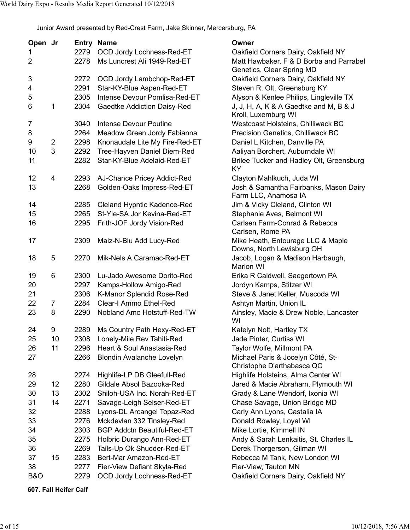Junior Award presented by Red-Crest Farm, Jake Skinner, Mercersburg, PA

| Open Jr        |                |      | <b>Entry Name</b>                  | Owner                                                                |
|----------------|----------------|------|------------------------------------|----------------------------------------------------------------------|
| 1              |                | 2279 | OCD Jordy Lochness-Red-ET          | Oakfield Corners Dairy, Oakfield NY                                  |
| $\overline{2}$ |                | 2278 | Ms Luncrest Ali 1949-Red-ET        | Matt Hawbaker, F & D Borba and Parrabel<br>Genetics, Clear Spring MD |
| 3              |                | 2272 | OCD Jordy Lambchop-Red-ET          | Oakfield Corners Dairy, Oakfield NY                                  |
| 4              |                | 2291 | Star-KY-Blue Aspen-Red-ET          | Steven R. Olt, Greensburg KY                                         |
| 5              |                | 2305 | Intense Devour Pomlisa-Red-ET      | Alyson & Kenlee Philips, Lingleville TX                              |
| 6              | 1              | 2304 | Gaedtke Addiction Daisy-Red        | J, J, H, A, K & A Gaedtke and M, B & J<br>Kroll, Luxemburg WI        |
| 7              |                | 3040 | <b>Intense Devour Poutine</b>      | Westcoast Holsteins, Chilliwack BC                                   |
| 8              |                | 2264 | Meadow Green Jordy Fabianna        | Precision Genetics, Chilliwack BC                                    |
| 9              | $\overline{2}$ | 2298 | Knonaudale Lite My Fire-Red-ET     | Daniel L Kitchen, Danville PA                                        |
| 10             | 3              | 2292 | Tree-Hayven Daniel Diem-Red        | Aaliyah Borchert, Auburndale WI                                      |
| 11             |                | 2282 | Star-KY-Blue Adelaid-Red-ET        | Brilee Tucker and Hadley Olt, Greensburg<br>KY                       |
| 12             | 4              | 2293 | AJ-Chance Pricey Addict-Red        | Clayton Mahlkuch, Juda WI                                            |
| 13             |                | 2268 | Golden-Oaks Impress-Red-ET         | Josh & Samantha Fairbanks, Mason Dairy<br>Farm LLC, Anamosa IA       |
| 14             |                | 2285 | Cleland Hypntic Kadence-Red        | Jim & Vicky Cleland, Clinton WI                                      |
| 15             |                | 2265 | St-Yle-SA Jor Kevina-Red-ET        | Stephanie Aves, Belmont WI                                           |
| 16             |                | 2295 | Frith-JOF Jordy Vision-Red         | Carlsen Farm-Conrad & Rebecca<br>Carlsen, Rome PA                    |
| 17             |                | 2309 | Maiz-N-Blu Add Lucy-Red            | Mike Heath, Entourage LLC & Maple<br>Downs, North Lewisburg OH       |
| 18             | 5              | 2270 | Mik-Nels A Caramac-Red-ET          | Jacob, Logan & Madison Harbaugh,<br><b>Marion WI</b>                 |
| 19             | 6              | 2300 | Lu-Jado Awesome Dorito-Red         | Erika R Caldwell, Saegertown PA                                      |
| 20             |                | 2297 | Kamps-Hollow Amigo-Red             | Jordyn Kamps, Stitzer WI                                             |
| 21             |                | 2306 | K-Manor Splendid Rose-Red          | Steve & Janet Keller, Muscoda WI                                     |
| 22             | 7              | 2284 | Clear-I Ammo Ethel-Red             | Ashtyn Martin, Union IL                                              |
| 23             | 8              | 2290 | Nobland Amo Hotstuff-Red-TW        | Ainsley, Macie & Drew Noble, Lancaster<br>WI                         |
| 24             | 9              | 2289 | Ms Country Path Hexy-Red-ET        | Katelyn Nolt, Hartley TX                                             |
| 25             | 10             | 2308 | Lonely-Mile Rev Tahiti-Red         | Jade Pinter, Curtiss WI                                              |
| 26             | 11             | 2296 | Heart & Soul Anastasia-Red         | Taylor Wolfe, Millmont PA                                            |
| 27             |                | 2266 | <b>Blondin Avalanche Lovelyn</b>   | Michael Paris & Jocelyn Côté, St-<br>Christophe D'arthabasca QC      |
| 28             |                | 2274 | Highlife-LP DB Gleefull-Red        | Highlife Holsteins, Alma Center WI                                   |
| 29             | 12             | 2280 | Gildale Absol Bazooka-Red          | Jared & Macie Abraham, Plymouth WI                                   |
| 30             | 13             | 2302 | Shiloh-USA Inc. Norah-Red-ET       | Grady & Lane Wendorf, Ixonia WI                                      |
| 31             | 14             | 2271 | Savage-Leigh Selser-Red-ET         | Chase Savage, Union Bridge MD                                        |
| 32             |                | 2288 | Lyons-DL Arcangel Topaz-Red        | Carly Ann Lyons, Castalia IA                                         |
| 33             |                | 2276 | Mckdevlan 332 Tinsley-Red          | Donald Rowley, Loyal WI                                              |
| 34             |                | 2303 | <b>BGP Addctn Beautiful-Red-ET</b> | Mike Lortie, Kimmell IN                                              |
| 35             |                | 2275 | Holbric Durango Ann-Red-ET         | Andy & Sarah Lenkaitis, St. Charles IL                               |
| 36             |                | 2269 | Tails-Up Ok Shudder-Red-ET         | Derek Thorgerson, Gilman WI                                          |
| 37             | 15             | 2283 | Bert-Mar Amazon-Red-ET             | Rebecca M Tank, New London WI                                        |
| 38             |                | 2277 | Fier-View Defiant Skyla-Red        | Fier-View, Tauton MN                                                 |
| B&O            |                | 2279 | OCD Jordy Lochness-Red-ET          | Oakfield Corners Dairy, Oakfield NY                                  |

**607. Fall Heifer Calf**

| Oakfield Corners Dairy, Oakfield NY      |
|------------------------------------------|
| Matt Hawbaker, F & D Borba and Parrabel  |
| Genetics, Clear Spring MD                |
| Oakfield Corners Dairy, Oakfield NY      |
|                                          |
| Steven R. Olt, Greensburg KY             |
| Alyson & Kenlee Philips, Lingleville TX  |
| J, J, H, A, K & A Gaedtke and M, B & J   |
| Kroll, Luxemburg WI                      |
| Westcoast Holsteins, Chilliwack BC       |
| Precision Genetics, Chilliwack BC        |
| Daniel L Kitchen, Danville PA            |
| Aaliyah Borchert, Auburndale WI          |
| Brilee Tucker and Hadley Olt, Greensburg |
| ΚY                                       |
|                                          |
| Clayton Mahlkuch, Juda WI                |
| Josh & Samantha Fairbanks, Mason Dairy   |
| Farm LLC, Anamosa IA                     |
| Jim & Vicky Cleland, Clinton WI          |
| Stephanie Aves, Belmont WI               |
| Carlsen Farm-Conrad & Rebecca            |
| Carlsen, Rome PA                         |
| Mike Heath, Entourage LLC & Maple        |
| Downs, North Lewisburg OH                |
| Jacob, Logan & Madison Harbaugh,         |
| <b>Marion WI</b>                         |
| Erika R Caldwell, Saegertown PA          |
| Jordyn Kamps, Stitzer WI                 |
| Steve & Janet Keller, Muscoda WI         |
|                                          |
| Ashtyn Martin, Union IL                  |
| Ainsley, Macie & Drew Noble, Lancaster   |
| WI                                       |
| Katelyn Nolt, Hartley TX                 |
| Jade Pinter, Curtiss WI                  |
| Taylor Wolfe, Millmont PA                |
| Michael Paris & Jocelyn Côté, St-        |
| Christophe D'arthabasca QC               |
| Highlife Holsteins, Alma Center WI       |
| Jared & Macie Abraham, Plymouth WI       |
|                                          |
| Grady & Lane Wendorf, Ixonia WI          |
| Chase Savage, Union Bridge MD            |
| Carly Ann Lyons, Castalia IA             |
| Donald Rowley, Loyal WI                  |
| Mike Lortie, Kimmell IN                  |
| Andy & Sarah Lenkaitis, St. Charles IL   |
| Derek Thorgerson, Gilman WI              |
| Rebecca M Tank, New London WI            |
| Fier-View, Tauton MN                     |
| Oakfield Corners Dairy, Oakfield NY      |
|                                          |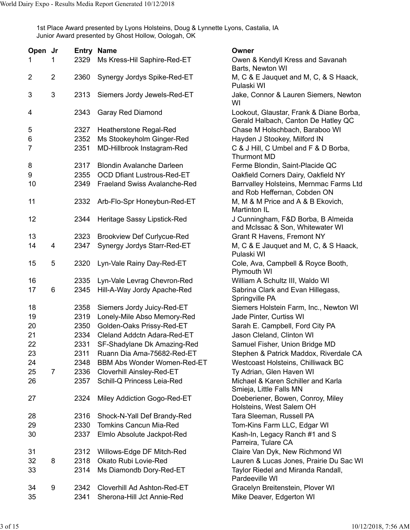1st Place Award presented by Lyons Holsteins, Doug & Lynnette Lyons, Castalia, IA Junior Award presented by Ghost Hollow, Oologah, OK

| Open Jr        |                |      | <b>Entry Name</b>                   | Owner                                                                          |
|----------------|----------------|------|-------------------------------------|--------------------------------------------------------------------------------|
| 1              | 1              | 2329 | Ms Kress-Hil Saphire-Red-ET         | Owen & Kendyll Kress and Savanah<br>Barts, Newton WI                           |
| $\overline{c}$ | $\overline{2}$ | 2360 | Synergy Jordys Spike-Red-ET         | M, C & E Jauquet and M, C, & S Haack,<br>Pulaski WI                            |
| 3              | 3              | 2313 | Siemers Jordy Jewels-Red-ET         | Jake, Connor & Lauren Siemers, Newton<br>WI                                    |
| 4              |                | 2343 | Garay Red Diamond                   | Lookout, Glaustar, Frank & Diane Borba,<br>Gerald Halbach, Canton De Hatley QC |
| 5              |                | 2327 | Heatherstone Regal-Red              | Chase M Holschbach, Baraboo WI                                                 |
| $\,6$          |                | 2352 | Ms Stookeyholm Ginger-Red           | Hayden J Stookey, Milford IN                                                   |
| 7              |                | 2351 | MD-Hillbrook Instagram-Red          | C & J Hill, C Umbel and F & D Borba,<br><b>Thurmont MD</b>                     |
| 8              |                | 2317 | <b>Blondin Avalanche Darleen</b>    | Ferme Blondin, Saint-Placide QC                                                |
| 9              |                | 2355 | <b>OCD Dfiant Lustrous-Red-ET</b>   | Oakfield Corners Dairy, Oakfield NY                                            |
| 10             |                | 2349 | <b>Fraeland Swiss Avalanche-Red</b> | Barrvalley Holsteins, Mernmac Farms Ltd<br>and Rob Heffernan, Cobden ON        |
| 11             |                | 2332 | Arb-Flo-Spr Honeybun-Red-ET         | M, M & M Price and A & B Ekovich,<br><b>Martinton IL</b>                       |
| 12             |                | 2344 | Heritage Sassy Lipstick-Red         | J Cunningham, F&D Borba, B Almeida<br>and McIssac & Son, Whitewater WI         |
| 13             |                | 2323 | <b>Brookview Def Curlycue-Red</b>   | <b>Grant R Havens, Fremont NY</b>                                              |
| 14             | 4              | 2347 | Synergy Jordys Starr-Red-ET         | M, C & E Jauquet and M, C, & S Haack,<br>Pulaski WI                            |
| 15             | 5              | 2320 | Lyn-Vale Rainy Day-Red-ET           | Cole, Ava, Campbell & Royce Booth,<br>Plymouth WI                              |
| 16             |                | 2335 | Lyn-Vale Levrag Chevron-Red         | William A Schultz III, Waldo WI                                                |
| 17             | 6              | 2345 | Hill-A-Way Jordy Apache-Red         | Sabrina Clark and Evan Hillegass,<br>Springville PA                            |
| 18             |                | 2358 | Siemers Jordy Juicy-Red-ET          | Siemers Holstein Farm, Inc., Newton WI                                         |
| 19             |                | 2319 | Lonely-Mile Abso Memory-Red         | Jade Pinter, Curtiss WI                                                        |
| 20             |                | 2350 | Golden-Oaks Prissy-Red-ET           | Sarah E. Campbell, Ford City PA                                                |
| 21             |                | 2334 | Cleland Addctn Adara-Red-ET         | Jason Cleland, Clinton WI                                                      |
| 22             |                | 2331 | SF-Shadylane Dk Amazing-Red         | Samuel Fisher, Union Bridge MD                                                 |
| 23             |                | 2311 | Ruann Dia Ama-75682-Red-ET          | Stephen & Patrick Maddox, Riverdale CA                                         |
| 24             |                | 2348 | BBM Abs Wonder Women-Red-ET         | Westcoast Holsteins, Chilliwack BC                                             |
| 25             | 7              | 2336 | Cloverhill Ainsley-Red-ET           | Ty Adrian, Glen Haven WI                                                       |
| 26             |                | 2357 | Schill-Q Princess Leia-Red          | Michael & Karen Schiller and Karla<br>Smieja, Little Falls MN                  |
| 27             |                | 2324 | Miley Addiction Gogo-Red-ET         | Doeberiener, Bowen, Conroy, Miley<br>Holsteins, West Salem OH                  |
| 28             |                | 2316 | Shock-N-Yall Def Brandy-Red         | Tara Sleeman, Russell PA                                                       |
| 29             |                | 2330 | <b>Tomkins Cancun Mia-Red</b>       | Tom-Kins Farm LLC, Edgar WI                                                    |
| 30             |                | 2337 | Elmlo Absolute Jackpot-Red          | Kash-In, Legacy Ranch #1 and S<br>Parreira, Tulare CA                          |
| 31             |                | 2312 | Willows-Edge DF Mitch-Red           | Claire Van Dyk, New Richmond WI                                                |
| 32             | 8              | 2318 | Okato Rubi Lovie-Red                | Lauren & Lucas Jones, Prairie Du Sac WI                                        |
| 33             |                | 2314 | Ms Diamondb Dory-Red-ET             | Taylor Riedel and Miranda Randall,<br>Pardeeville WI                           |
| 34             | 9              | 2342 | Cloverhill Ad Ashton-Red-ET         | Gracelyn Breitenstein, Plover WI                                               |
| 35             |                | 2341 | Sherona-Hill Jct Annie-Red          | Mike Deaver, Edgerton WI                                                       |
|                |                |      |                                     |                                                                                |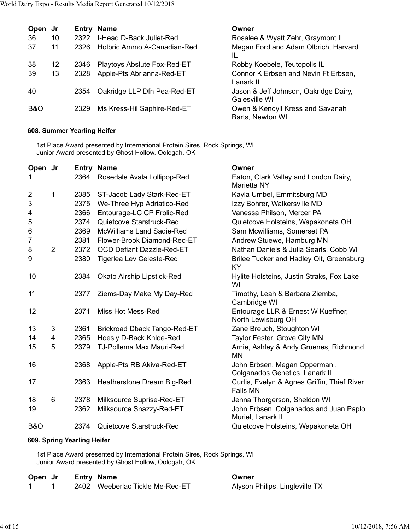| Open           | .Jr |      | <b>Entry Name</b>           | Owner                                                  |
|----------------|-----|------|-----------------------------|--------------------------------------------------------|
| 36             | 10  | 2322 | I-Head D-Back Juliet-Red    | Rosalee & Wyatt Zehr, Graymont IL                      |
| 37             | 11  | 2326 | Holbric Ammo A-Canadian-Red | Megan Ford and Adam Olbrich, Harvard<br>IL             |
| 38             | 12  | 2346 | Playtoys Abslute Fox-Red-ET | Robby Koebele, Teutopolis IL                           |
| 39             | 13  | 2328 | Apple-Pts Abrianna-Red-ET   | Connor K Erbsen and Nevin Ft Erbsen,<br>Lanark IL      |
| 40             |     | 2354 | Oakridge LLP Dfn Pea-Red-ET | Jason & Jeff Johnson, Oakridge Dairy,<br>Galesville WI |
| <b>B&amp;O</b> |     | 2329 | Ms Kress-Hil Saphire-Red-ET | Owen & Kendyll Kress and Savanah<br>Barts, Newton WI   |

## **608. Summer Yearling Heifer**

1st Place Award presented by International Protein Sires, Rock Springs, WI Junior Award presented by Ghost Hollow, Oologah, OK

| Open Jr        |   |      | <b>Entry Name</b>                 | Owner                                                          |
|----------------|---|------|-----------------------------------|----------------------------------------------------------------|
| 1              |   | 2364 | Rosedale Avala Lollipop-Red       | Eaton, Clark Valley and London Dairy,<br>Marietta NY           |
| $\overline{2}$ | 1 | 2385 | ST-Jacob Lady Stark-Red-ET        | Kayla Umbel, Emmitsburg MD                                     |
| 3              |   | 2375 | We-Three Hyp Adriatico-Red        | Izzy Bohrer, Walkersville MD                                   |
| 4              |   | 2366 | Entourage-LC CP Frolic-Red        | Vanessa Philson, Mercer PA                                     |
| 5              |   | 2374 | Quietcove Starstruck-Red          | Quietcove Holsteins, Wapakoneta OH                             |
| $\,6$          |   | 2369 | <b>McWilliams Land Sadie-Red</b>  | Sam Mcwilliams, Somerset PA                                    |
| 7              |   | 2381 | Flower-Brook Diamond-Red-ET       | Andrew Stuewe, Hamburg MN                                      |
| 8              | 2 | 2372 | <b>OCD Defiant Dazzle-Red-ET</b>  | Nathan Daniels & Julia Searls, Cobb WI                         |
| 9              |   | 2380 | Tigerlea Lev Celeste-Red          | Brilee Tucker and Hadley Olt, Greensburg<br><b>KY</b>          |
| 10             |   | 2384 | <b>Okato Airship Lipstick-Red</b> | Hylite Holsteins, Justin Straks, Fox Lake<br>WI                |
| 11             |   | 2377 | Ziems-Day Make My Day-Red         | Timothy, Leah & Barbara Ziemba,<br>Cambridge WI                |
| 12             |   | 2371 | Miss Hot Mess-Red                 | Entourage LLR & Ernest W Kueffner,<br>North Lewisburg OH       |
| 13             | 3 | 2361 | Brickroad Dback Tango-Red-ET      | Zane Breuch, Stoughton WI                                      |
| 14             | 4 | 2365 | Hoesly D-Back Khloe-Red           | Taylor Fester, Grove City MN                                   |
| 15             | 5 | 2379 | <b>TJ-Pollema Max Mauri-Red</b>   | Arnie, Ashley & Andy Gruenes, Richmond<br>MN                   |
| 16             |   | 2368 | Apple-Pts RB Akiva-Red-ET         | John Erbsen, Megan Opperman,<br>Colganados Genetics, Lanark IL |
| 17             |   | 2363 | Heatherstone Dream Big-Red        | Curtis, Evelyn & Agnes Griffin, Thief River<br><b>Falls MN</b> |
| 18             | 6 | 2378 | Milksource Suprise-Red-ET         | Jenna Thorgerson, Sheldon WI                                   |
| 19             |   | 2362 | Milksource Snazzy-Red-ET          | John Erbsen, Colganados and Juan Paplo<br>Muriel, Lanark IL    |
| <b>B&amp;O</b> |   | 2374 | Quietcove Starstruck-Red          | Quietcove Holsteins, Wapakoneta OH                             |

## **609. Spring Yearling Heifer**

1st Place Award presented by International Protein Sires, Rock Springs, WI Junior Award presented by Ghost Hollow, Oologah, OK

| Open Jr | <b>Entry Name</b> |                                 | Owner                          |
|---------|-------------------|---------------------------------|--------------------------------|
|         |                   | 2402 Weeberlac Tickle Me-Red-ET | Alyson Philips, Lingleville TX |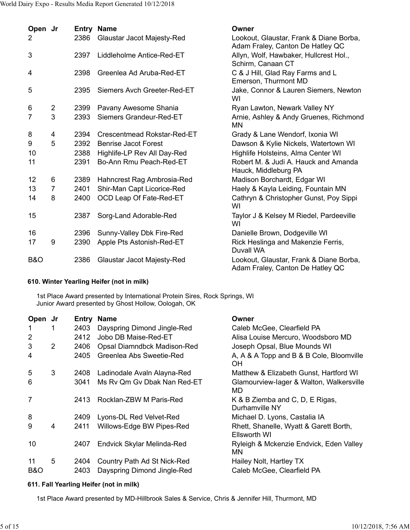| Open Jr        |                |      | <b>Entry Name</b>           | Owner                                                                       |
|----------------|----------------|------|-----------------------------|-----------------------------------------------------------------------------|
| 2              |                | 2386 | Glaustar Jacot Majesty-Red  | Lookout, Glaustar, Frank & Diane Borba,<br>Adam Fraley, Canton De Hatley QC |
| 3              |                | 2397 | Liddleholme Antice-Red-ET   | Allyn, Wolf, Hawbaker, Hullcrest Hol.,<br>Schirm, Canaan CT                 |
| 4              |                | 2398 | Greenlea Ad Aruba-Red-ET    | C & J Hill, Glad Ray Farms and L<br>Emerson, Thurmont MD                    |
| 5              |                | 2395 | Siemers Avch Greeter-Red-ET | Jake, Connor & Lauren Siemers, Newton<br>WI                                 |
| 6              | $\overline{2}$ | 2399 | Pavany Awesome Shania       | Ryan Lawton, Newark Valley NY                                               |
| 7              | 3              | 2393 | Siemers Grandeur-Red-ET     | Arnie, Ashley & Andy Gruenes, Richmond<br><b>MN</b>                         |
| 8              | 4              | 2394 | Crescentmead Rokstar-Red-ET | Grady & Lane Wendorf, Ixonia WI                                             |
| 9              | 5              | 2392 | <b>Benrise Jacot Forest</b> | Dawson & Kylie Nickels, Watertown WI                                        |
| 10             |                | 2388 | Highlife-LP Rev All Day-Red | Highlife Holsteins, Alma Center WI                                          |
| 11             |                | 2391 | Bo-Ann Rmu Peach-Red-ET     | Robert M. & Judi A. Hauck and Amanda<br>Hauck, Middleburg PA                |
| 12             | 6              | 2389 | Hahncrest Rag Ambrosia-Red  | Madison Borchardt, Edgar WI                                                 |
| 13             | $\overline{7}$ | 2401 | Shir-Man Capt Licorice-Red  | Haely & Kayla Leiding, Fountain MN                                          |
| 14             | 8              | 2400 | OCD Leap Of Fate-Red-ET     | Cathryn & Christopher Gunst, Poy Sippi<br>WI                                |
| 15             |                | 2387 | Sorg-Land Adorable-Red      | Taylor J & Kelsey M Riedel, Pardeeville<br>WI                               |
| 16             |                | 2396 | Sunny-Valley Dbk Fire-Red   | Danielle Brown, Dodgeville WI                                               |
| 17             | 9              | 2390 | Apple Pts Astonish-Red-ET   | Rick Heslinga and Makenzie Ferris,<br>Duvall WA                             |
| <b>B&amp;O</b> |                | 2386 | Glaustar Jacot Majesty-Red  | Lookout, Glaustar, Frank & Diane Borba,<br>Adam Fraley, Canton De Hatley QC |

# **610. Winter Yearling Heifer (not in milk)**

1st Place Award presented by International Protein Sires, Rock Springs, WI Junior Award presented by Ghost Hollow, Oologah, OK

| Open Jr        |                |      | <b>Entry Name</b>           | Owner                                                  |
|----------------|----------------|------|-----------------------------|--------------------------------------------------------|
| 1              |                | 2403 | Dayspring Dimond Jingle-Red | Caleb McGee, Clearfield PA                             |
| $\overline{2}$ |                | 2412 | Jobo DB Maise-Red-ET        | Alisa Louise Mercuro, Woodsboro MD                     |
| 3              | $\overline{2}$ | 2406 | Opsal Diamndbck Madison-Red | Joseph Opsal, Blue Mounds WI                           |
| 4              |                | 2405 | Greenlea Abs Sweetie-Red    | A, A & A Topp and B & B Cole, Bloomville<br><b>OH</b>  |
| 5              | 3              | 2408 | Ladinodale Avaln Alayna-Red | Matthew & Elizabeth Gunst, Hartford WI                 |
| 6              |                | 3041 | Ms Ry Qm Gy Dbak Nan Red-ET | Glamourview-lager & Walton, Walkersville<br>MD         |
| 7              |                | 2413 | Rocklan-ZBW M Paris-Red     | K & B Ziemba and C, D, E Rigas,<br>Durhamville NY      |
| 8              |                | 2409 | Lyons-DL Red Velvet-Red     | Michael D. Lyons, Castalia IA                          |
| 9              | 4              | 2411 | Willows-Edge BW Pipes-Red   | Rhett, Shanelle, Wyatt & Garett Borth,<br>Ellsworth WI |
| 10             |                | 2407 | Endvick Skylar Melinda-Red  | Ryleigh & Mckenzie Endvick, Eden Valley<br><b>MN</b>   |
| 11             | 5              | 2404 | Country Path Ad St Nick-Red | Hailey Nolt, Hartley TX                                |
| B&O            |                | 2403 | Dayspring Dimond Jingle-Red | Caleb McGee, Clearfield PA                             |

## **611. Fall Yearling Heifer (not in milk)**

1st Place Award presented by MD-Hillbrook Sales & Service, Chris & Jennifer Hill, Thurmont, MD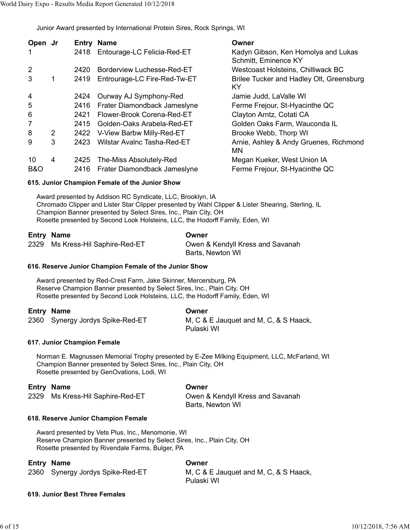Junior Award presented by International Protein Sires, Rock Springs, WI

| Open Jr        |   | Entry | <b>Name</b>                        | Owner                                                       |
|----------------|---|-------|------------------------------------|-------------------------------------------------------------|
| 1              |   | 2418  | Entourage-LC Felicia-Red-ET        | Kadyn Gibson, Ken Homolya and Lukas<br>Schmitt, Eminence KY |
| $\overline{2}$ |   | 2420  | Borderview Luchesse-Red-ET         | Westcoast Holsteins, Chilliwack BC                          |
| 3              |   | 2419  | Entrourage-LC Fire-Red-Tw-ET       | Brilee Tucker and Hadley Olt, Greensburg<br>ΚY              |
| 4              |   | 2424  | Ourway AJ Symphony-Red             | Jamie Judd, LaValle WI                                      |
| 5              |   | 2416  | Frater Diamondback Jameslyne       | Ferme Frejour, St-Hyacinthe QC                              |
| 6              |   | 2421  | Flower-Brook Corena-Red-ET         | Clayton Arntz, Cotati CA                                    |
| 7              |   | 2415  | Golden-Oaks Arabela-Red-ET         | Golden Oaks Farm, Wauconda IL                               |
| 8              | 2 | 2422  | V-View Barbw Milly-Red-ET          | Brooke Webb, Thorp WI                                       |
| 9              | 3 | 2423  | <b>Wilstar Avalnc Tasha-Red-ET</b> | Arnie, Ashley & Andy Gruenes, Richmond<br>MN                |
| 10             | 4 | 2425  | The-Miss Absolutely-Red            | Megan Kueker, West Union IA                                 |
| <b>B&amp;O</b> |   | 2416  | Frater Diamondback Jameslyne       | Ferme Frejour, St-Hyacinthe QC                              |

## **615. Junior Champion Female of the Junior Show**

Award presented by Addison RC Syndicate, LLC, Brooklyn, IA Chromado Clipper and Lister Star Clipper presented by Wahl Clipper & Lister Shearing, Sterling, IL Champion Banner presented by Select Sires, Inc., Plain City, OH Rosette presented by Second Look Holsteins, LLC, the Hodorff Family, Eden, WI

| Entry Name                       | Owner                            |
|----------------------------------|----------------------------------|
| 2329 Ms Kress-Hil Saphire-Red-ET | Owen & Kendyll Kress and Savanah |
|                                  | Barts, Newton WI                 |

## **616. Reserve Junior Champion Female of the Junior Show**

Award presented by Red-Crest Farm, Jake Skinner, Mercersburg, PA Reserve Champion Banner presented by Select Sires, Inc., Plain City, OH Rosette presented by Second Look Holsteins, LLC, the Hodorff Family, Eden, WI

## **Entry Name Owner**

2360 Synergy Jordys Spike-Red-ET M, C & E Jauquet and M, C, & S Haack, Pulaski WI

## **617. Junior Champion Female**

Norman E. Magnussen Memorial Trophy presented by E-Zee Milking Equipment, LLC, McFarland, WI Champion Banner presented by Select Sires, Inc., Plain City, OH Rosette presented by GenOvations, Lodi, WI

## **Entry Name Owner**

2329 Ms Kress-Hil Saphire-Red-ET **Owen & Kendyll Kress and Savanah** 

Barts, Newton WI

## **618. Reserve Junior Champion Female**

Award presented by Vets Plus, Inc., Menomonie, WI Reserve Champion Banner presented by Select Sires, Inc., Plain City, OH Rosette presented by Rivendale Farms, Bulger, PA

## **Entry Name Owner**

| 2360 Synergy Jordys Spike-Red-ET | M, C & E Jauquet and M, C, & S Haack, |
|----------------------------------|---------------------------------------|
|                                  | Pulaski WI                            |

# **619. Junior Best Three Females**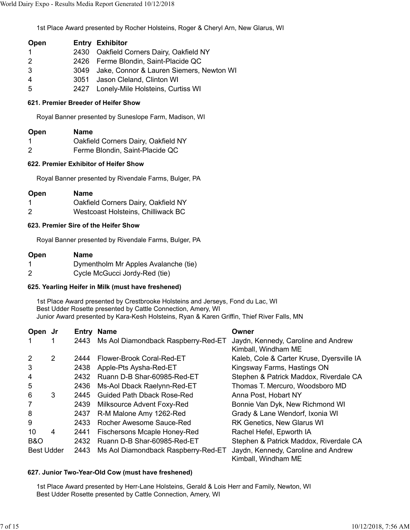1st Place Award presented by Rocher Holsteins, Roger & Cheryl Arn, New Glarus, WI

| Open                  | <b>Entry Exhibitor</b>                        |
|-----------------------|-----------------------------------------------|
| $\mathbf 1$           | 2430 Oakfield Corners Dairy, Oakfield NY      |
| $\mathbf{2}^{\prime}$ | 2426 Ferme Blondin, Saint-Placide QC          |
| 3                     | 3049 Jake, Connor & Lauren Siemers, Newton WI |
| 4                     | 3051 Jason Cleland, Clinton WI                |
| 5                     | 2427 Lonely-Mile Holsteins, Curtiss WI        |

## **621. Premier Breeder of Heifer Show**

Royal Banner presented by Suneslope Farm, Madison, WI

- 1 Oakfield Corners Dairy, Oakfield NY
- 2 Ferme Blondin, Saint-Placide QC

## **622. Premier Exhibitor of Heifer Show**

Royal Banner presented by Rivendale Farms, Bulger, PA

| Open | Name                                |
|------|-------------------------------------|
| -1   | Oakfield Corners Dairy, Oakfield NY |
| 2    | Westcoast Holsteins, Chilliwack BC  |

## **623. Premier Sire of the Heifer Show**

Royal Banner presented by Rivendale Farms, Bulger, PA

| Open | Name                                 |
|------|--------------------------------------|
| -1   | Dymentholm Mr Apples Avalanche (tie) |
| 2    | Cycle McGucci Jordy-Red (tie)        |

## **625. Yearling Heifer in Milk (must have freshened)**

1st Place Award presented by Crestbrooke Holsteins and Jerseys, Fond du Lac, WI Best Udder Rosette presented by Cattle Connection, Amery, WI Junior Award presented by Kara-Kesh Holsteins, Ryan & Karen Griffin, Thief River Falls, MN

| Open Jr           |   | Entrv | <b>Name</b>                         | Owner                                                      |
|-------------------|---|-------|-------------------------------------|------------------------------------------------------------|
|                   |   | 2443  | Ms Aol Diamondback Raspberry-Red-ET | Jaydn, Kennedy, Caroline and Andrew<br>Kimball, Windham ME |
| 2                 | 2 | 2444  | Flower-Brook Coral-Red-ET           | Kaleb, Cole & Carter Kruse, Dyersville IA                  |
| 3                 |   | 2438  | Apple-Pts Aysha-Red-ET              | Kingsway Farms, Hastings ON                                |
| 4                 |   | 2432  | Ruann D-B Shar-60985-Red-ET         | Stephen & Patrick Maddox, Riverdale CA                     |
| 5                 |   | 2436  | Ms-Aol Dback Raelynn-Red-ET         | Thomas T. Mercuro, Woodsboro MD                            |
| 6                 | 3 | 2445  | <b>Guided Path Dback Rose-Red</b>   | Anna Post, Hobart NY                                       |
| 7                 |   | 2439  | Milksource Advent Foxy-Red          | Bonnie Van Dyk, New Richmond WI                            |
| 8                 |   | 2437  | R-M Malone Amy 1262-Red             | Grady & Lane Wendorf, Ixonia WI                            |
| 9                 |   | 2433  | Rocher Awesome Sauce-Red            | <b>RK Genetics, New Glarus WI</b>                          |
| 10                | 4 | 2441  | <b>Fischersons Mcaple Honey-Red</b> | Rachel Hefel, Epworth IA                                   |
| <b>B&amp;O</b>    |   | 2432  | Ruann D-B Shar-60985-Red-ET         | Stephen & Patrick Maddox, Riverdale CA                     |
| <b>Best Udder</b> |   | 2443  | Ms Aol Diamondback Raspberry-Red-ET | Jaydn, Kennedy, Caroline and Andrew<br>Kimball, Windham ME |

## **627. Junior Two-Year-Old Cow (must have freshened)**

1st Place Award presented by Herr-Lane Holsteins, Gerald & Lois Herr and Family, Newton, WI Best Udder Rosette presented by Cattle Connection, Amery, WI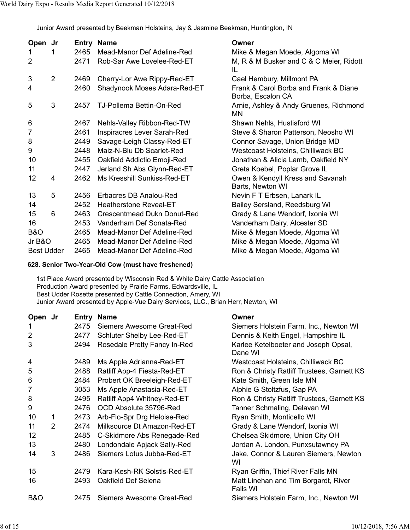Junior Award presented by Beekman Holsteins, Jay & Jasmine Beekman, Huntington, IN

| Open Jr           |                |      | <b>Entry Name</b>             | Owner                                                      |
|-------------------|----------------|------|-------------------------------|------------------------------------------------------------|
| 1                 |                | 2465 | Mead-Manor Def Adeline-Red    | Mike & Megan Moede, Algoma WI                              |
| 2                 |                | 2471 | Rob-Sar Awe Lovelee-Red-ET    | M, R & M Busker and C & C Meier, Ridott<br>IL              |
| 3                 | $\overline{2}$ | 2469 | Cherry-Lor Awe Rippy-Red-ET   | Cael Hembury, Millmont PA                                  |
| 4                 |                | 2460 | Shadynook Moses Adara-Red-ET  | Frank & Carol Borba and Frank & Diane<br>Borba, Escalon CA |
| 5                 | 3              | 2457 | TJ-Pollema Bettin-On-Red      | Arnie, Ashley & Andy Gruenes, Richmond<br>MN               |
| 6                 |                | 2467 | Nehls-Valley Ribbon-Red-TW    | Shawn Nehls, Hustisford WI                                 |
| 7                 |                | 2461 | Inspiracres Lever Sarah-Red   | Steve & Sharon Patterson, Neosho WI                        |
| 8                 |                | 2449 | Savage-Leigh Classy-Red-ET    | Connor Savage, Union Bridge MD                             |
| 9                 |                | 2448 | Maiz-N-Blu Db Scarlet-Red     | Westcoast Holsteins, Chilliwack BC                         |
| 10                |                | 2455 | Oakfield Addictio Emoji-Red   | Jonathan & Alicia Lamb, Oakfield NY                        |
| 11                |                | 2447 | Jerland Sh Abs Glynn-Red-ET   | Greta Koebel, Poplar Grove IL                              |
| 12                | 4              | 2462 | Ms Kresshill Sunkiss-Red-ET   | Owen & Kendyll Kress and Savanah<br>Barts, Newton WI       |
| 13                | 5              | 2456 | Erbacres DB Analou-Red        | Nevin F T Erbsen, Lanark IL                                |
| 14                |                | 2452 | <b>Heatherstone Reveal-ET</b> | Bailey Sersland, Reedsburg WI                              |
| 15                | 6              | 2463 | Crescentmead Dukn Donut-Red   | Grady & Lane Wendorf, Ixonia WI                            |
| 16                |                | 2453 | Vanderham Def Sonata-Red      | Vanderham Dairy, Alcester SD                               |
| <b>B&amp;O</b>    |                | 2465 | Mead-Manor Def Adeline-Red    | Mike & Megan Moede, Algoma WI                              |
| Jr B&O            |                | 2465 | Mead-Manor Def Adeline-Red    | Mike & Megan Moede, Algoma WI                              |
| <b>Best Udder</b> |                | 2465 | Mead-Manor Def Adeline-Red    | Mike & Megan Moede, Algoma WI                              |

## **628. Senior Two-Year-Old Cow (must have freshened)**

1st Place Award presented by Wisconsin Red & White Dairy Cattle Association Production Award presented by Prairie Farms, Edwardsville, IL Best Udder Rosette presented by Cattle Connection, Amery, WI Junior Award presented by Apple-Vue Dairy Services, LLC., Brian Herr, Newton, WI

| Open Jr        |   | Entry | <b>Name</b>                  | Owner                                            |
|----------------|---|-------|------------------------------|--------------------------------------------------|
| 1              |   | 2475  | Siemers Awesome Great-Red    | Siemers Holstein Farm, Inc., Newton WI           |
| $\overline{2}$ |   | 2477  | Schluter Shelby Lee-Red-ET   | Dennis & Keith Engel, Hampshire IL               |
| 3              |   | 2494  | Rosedale Pretty Fancy In-Red | Karlee Ketelboeter and Joseph Opsal,<br>Dane WI  |
| 4              |   | 2489  | Ms Apple Adrianna-Red-ET     | Westcoast Holsteins, Chilliwack BC               |
| 5              |   | 2488  | Ratliff App-4 Fiesta-Red-ET  | Ron & Christy Ratliff Trustees, Garnett KS       |
| 6              |   | 2484  | Probert OK Breeleigh-Red-ET  | Kate Smith, Green Isle MN                        |
| 7              |   | 3053  | Ms Apple Anastasia-Red-ET    | Alphie G Stoltzfus, Gap PA                       |
| 8              |   | 2495  | Ratliff App4 Whitney-Red-ET  | Ron & Christy Ratliff Trustees, Garnett KS       |
| 9              |   | 2476  | OCD Absolute 35796-Red       | Tanner Schmaling, Delavan WI                     |
| 10             | 1 | 2473  | Arb-Flo-Spr Drg Heloise-Red  | Ryan Smith, Monticello WI                        |
| 11             | 2 | 2474  | Milksource Dt Amazon-Red-ET  | Grady & Lane Wendorf, Ixonia WI                  |
| 12             |   | 2485  | C-Skidmore Abs Renegade-Red  | Chelsea Skidmore, Union City OH                  |
| 13             |   | 2480  | Londondale Apjack Sally-Red  | Jordan A. London, Punxsutawney PA                |
| 14             | 3 | 2486  | Siemers Lotus Jubba-Red-ET   | Jake, Connor & Lauren Siemers, Newton<br>WI      |
| 15             |   | 2479  | Kara-Kesh-RK Solstis-Red-ET  | Ryan Griffin, Thief River Falls MN               |
| 16             |   | 2493  | Oakfield Def Selena          | Matt Linehan and Tim Borgardt, River<br>Falls WI |
| <b>B&amp;O</b> |   | 2475  | Siemers Awesome Great-Red    | Siemers Holstein Farm, Inc., Newton WI           |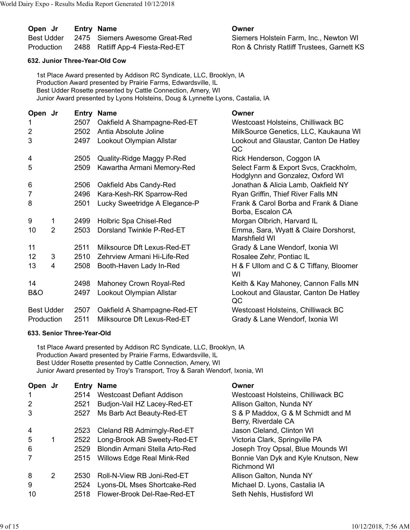| Open Jr    | Entry Name                       | Owner                                      |
|------------|----------------------------------|--------------------------------------------|
| Best Udder | 2475 Siemers Awesome Great-Red   | Siemers Holstein Farm, Inc., Newton WI     |
| Production | 2488 Ratliff App-4 Fiesta-Red-ET | Ron & Christy Ratliff Trustees, Garnett KS |

## **632. Junior Three-Year-Old Cow**

1st Place Award presented by Addison RC Syndicate, LLC, Brooklyn, IA Production Award presented by Prairie Farms, Edwardsville, IL Best Udder Rosette presented by Cattle Connection, Amery, WI Junior Award presented by Lyons Holsteins, Doug & Lynnette Lyons, Castalia, IA

| Open Jr           |                |      | <b>Entry Name</b>             | Owner                                                                     |
|-------------------|----------------|------|-------------------------------|---------------------------------------------------------------------------|
| 1                 |                | 2507 | Oakfield A Shampagne-Red-ET   | Westcoast Holsteins, Chilliwack BC                                        |
| $\overline{2}$    |                | 2502 | Antia Absolute Joline         | MilkSource Genetics, LLC, Kaukauna WI                                     |
| 3                 |                | 2497 | Lookout Olympian Allstar      | Lookout and Glaustar, Canton De Hatley<br>QC                              |
| 4                 |                | 2505 | Quality-Ridge Maggy P-Red     | Rick Henderson, Coggon IA                                                 |
| 5                 |                | 2509 | Kawartha Armani Memory-Red    | Select Farm & Export Svcs, Crackholm,<br>Hodglynn and Gonzalez, Oxford WI |
| 6                 |                | 2506 | Oakfield Abs Candy-Red        | Jonathan & Alicia Lamb, Oakfield NY                                       |
| 7                 |                | 2496 | Kara-Kesh-RK Sparrow-Red      | Ryan Griffin, Thief River Falls MN                                        |
| 8                 |                | 2501 | Lucky Sweetridge A Elegance-P | Frank & Carol Borba and Frank & Diane<br>Borba, Escalon CA                |
| 9                 | 1              | 2499 | Holbric Spa Chisel-Red        | Morgan Olbrich, Harvard IL                                                |
| 10                | $\overline{2}$ | 2503 | Dorsland Twinkle P-Red-ET     | Emma, Sara, Wyatt & Claire Dorshorst,<br>Marshfield WI                    |
| 11                |                | 2511 | Milksource Dft Lexus-Red-ET   | Grady & Lane Wendorf, Ixonia WI                                           |
| 12                | 3              | 2510 | Zehrview Armani Hi-Life-Red   | Rosalee Zehr, Pontiac IL                                                  |
| 13                | 4              | 2508 | Booth-Haven Lady In-Red       | H & F Ullom and C & C Tiffany, Bloomer<br>WI                              |
| 14                |                | 2498 | Mahoney Crown Royal-Red       | Keith & Kay Mahoney, Cannon Falls MN                                      |
| B&O               |                | 2497 | Lookout Olympian Allstar      | Lookout and Glaustar, Canton De Hatley<br>QC                              |
| <b>Best Udder</b> |                | 2507 | Oakfield A Shampagne-Red-ET   | Westcoast Holsteins, Chilliwack BC                                        |
| Production        |                | 2511 | Milksource Dft Lexus-Red-ET   | Grady & Lane Wendorf, Ixonia WI                                           |

## **633. Senior Three-Year-Old**

1st Place Award presented by Addison RC Syndicate, LLC, Brooklyn, IA Production Award presented by Prairie Farms, Edwardsville, IL Best Udder Rosette presented by Cattle Connection, Amery, WI Junior Award presented by Troy's Transport, Troy & Sarah Wendorf, Ixonia, WI

| Open Jr        |   | Entry | <b>Name</b>                       | Owner                                                      |
|----------------|---|-------|-----------------------------------|------------------------------------------------------------|
|                |   | 2514  | Westcoast Defiant Addison         | Westcoast Holsteins, Chilliwack BC                         |
| 2              |   | 2521  | Budjon-Vail HZ Lacey-Red-ET       | Allison Galton, Nunda NY                                   |
| 3              |   | 2527  | Ms Barb Act Beauty-Red-ET         | S & P Maddox, G & M Schmidt and M<br>Berry, Riverdale CA   |
| $\overline{4}$ |   | 2523  | Cleland RB Admirngly-Red-ET       | Jason Cleland, Clinton WI                                  |
| -5             | 1 | 2522  | Long-Brook AB Sweety-Red-ET       | Victoria Clark, Springville PA                             |
| 6              |   | 2529  | Blondin Armani Stella Arto-Red    | Joseph Troy Opsal, Blue Mounds WI                          |
|                |   | 2515  | <b>Willows Edge Real Mink-Red</b> | Bonnie Van Dyk and Kyle Knutson, New<br><b>Richmond WI</b> |
| 8              | 2 | 2530  | Roll-N-View RB Joni-Red-ET        | Allison Galton, Nunda NY                                   |
| 9              |   | 2524  | Lyons-DL Mses Shortcake-Red       | Michael D. Lyons, Castalia IA                              |
| 10             |   | 2518  | Flower-Brook Del-Rae-Red-ET       | Seth Nehls, Hustisford WI                                  |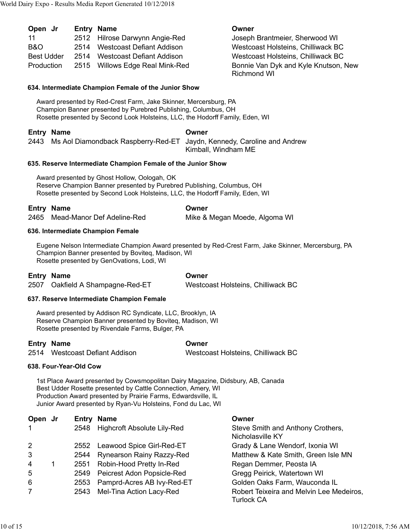| Open Jr           |      | <b>Entry Name</b>               | Owner                                           |
|-------------------|------|---------------------------------|-------------------------------------------------|
| 11                |      | 2512 Hilrose Darwynn Angie-Red  | Joseph Brantmeier, Sherwood WI                  |
| B&O               | 2514 | Westcoast Defiant Addison       | Westcoast Holsteins, Chilliwack BC              |
| <b>Best Udder</b> | 2514 | Westcoast Defiant Addison       | Westcoast Holsteins, Chilliwack BC              |
| Production        |      | 2515 Willows Edge Real Mink-Red | Bonnie Van Dyk and Kyle Knutson,<br>Richmond WI |

## **634. Intermediate Champion Female of the Junior Show**

Award presented by Red-Crest Farm, Jake Skinner, Mercersburg, PA Champion Banner presented by Purebred Publishing, Columbus, OH Rosette presented by Second Look Holsteins, LLC, the Hodorff Family, Eden, WI

## **Entry Name Owner**

2443 Ms Aol Diamondback Raspberry-Red-ET Jaydn, Kennedy, Caroline and Andrew

Kimball, Windham ME

## **635. Reserve Intermediate Champion Female of the Junior Show**

Award presented by Ghost Hollow, Oologah, OK Reserve Champion Banner presented by Purebred Publishing, Columbus, OH Rosette presented by Second Look Holsteins, LLC, the Hodorff Family, Eden, WI

## **Entry Name Owner**

2465 Mead-Manor Def Adeline-Red Mike & Megan Moede, Algoma WI

and Kyle Knutson, New

#### **636. Intermediate Champion Female**

Eugene Nelson Intermediate Champion Award presented by Red-Crest Farm, Jake Skinner, Mercersburg, PA Champion Banner presented by Boviteq, Madison, WI Rosette presented by GenOvations, Lodi, WI

## **Entry Name Owner**

2507 Oakfield A Shampagne-Red-ET Westcoast Holsteins, Chilliwack BC

## **637. Reserve Intermediate Champion Female**

Award presented by Addison RC Syndicate, LLC, Brooklyn, IA Reserve Champion Banner presented by Boviteq, Madison, WI Rosette presented by Rivendale Farms, Bulger, PA

## **Entry Name Owner**

2514 Westcoast Defiant Addison Westcoast Holsteins, Chilliwack BC

## **638. Four-Year-Old Cow**

1st Place Award presented by Cowsmopolitan Dairy Magazine, Didsbury, AB, Canada Best Udder Rosette presented by Cattle Connection, Amery, WI Production Award presented by Prairie Farms, Edwardsville, IL Junior Award presented by Ryan-Vu Holsteins, Fond du Lac, WI

| Open Jr        |      | <b>Entry Name</b>                  | Owner                                                  |
|----------------|------|------------------------------------|--------------------------------------------------------|
| $\mathbf{1}$   | 2548 | <b>Highcroft Absolute Lily-Red</b> | Steve Smith and Anthony Crothers,<br>Nicholasville KY  |
| $\overline{2}$ | 2552 | Leawood Spice Girl-Red-ET          | Grady & Lane Wendorf, Ixonia WI                        |
| 3              | 2544 | <b>Rynearson Rainy Razzy-Red</b>   | Matthew & Kate Smith, Green Isle MN                    |
| 4              | 2551 | Robin-Hood Pretty In-Red           | Regan Demmer, Peosta IA                                |
| 5              | 2549 | Peicrest Adon Popsicle-Red         | Gregg Peirick, Watertown WI                            |
| 6              | 2553 | Pamprd-Acres AB Ivy-Red-ET         | Golden Oaks Farm, Wauconda IL                          |
| 7              | 2543 | Mel-Tina Action Lacy-Red           | Robert Teixeira and Melvin Lee Medeiros,<br>Turlock CA |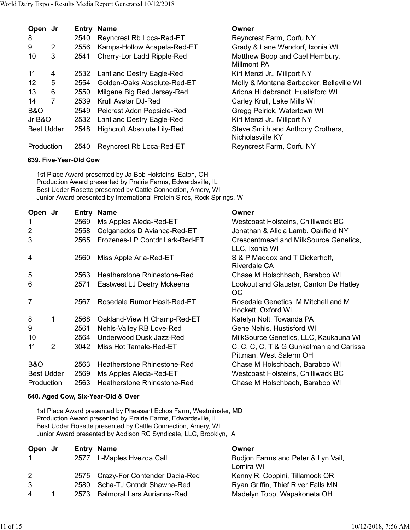| Open Jr           |   |      | <b>Entry Name</b>                  | Owner                                                 |
|-------------------|---|------|------------------------------------|-------------------------------------------------------|
| 8                 |   | 2540 | Reyncrest Rb Loca-Red-ET           | Reyncrest Farm, Corfu NY                              |
| 9                 | 2 | 2556 | Kamps-Hollow Acapela-Red-ET        | Grady & Lane Wendorf, Ixonia WI                       |
| 10                | 3 | 2541 | Cherry-Lor Ladd Ripple-Red         | Matthew Boop and Cael Hembury,<br><b>Millmont PA</b>  |
| 11                | 4 | 2532 | <b>Lantland Destry Eagle-Red</b>   | Kirt Menzi Jr., Millport NY                           |
| $12 \overline{ }$ | 5 | 2554 | Golden-Oaks Absolute-Red-ET        | Molly & Montana Sarbacker, Belleville WI              |
| 13                | 6 | 2550 | Milgene Big Red Jersey-Red         | Ariona Hildebrandt, Hustisford WI                     |
| 14                | 7 | 2539 | Krull Avatar DJ-Red                | Carley Krull, Lake Mills WI                           |
| <b>B&amp;O</b>    |   | 2549 | Peicrest Adon Popsicle-Red         | Gregg Peirick, Watertown WI                           |
| Jr B&O            |   | 2532 | <b>Lantland Destry Eagle-Red</b>   | Kirt Menzi Jr., Millport NY                           |
| <b>Best Udder</b> |   | 2548 | <b>Highcroft Absolute Lily-Red</b> | Steve Smith and Anthony Crothers,<br>Nicholasville KY |
| Production        |   | 2540 | Reyncrest Rb Loca-Red-ET           | Reyncrest Farm, Corfu NY                              |

## **639. Five-Year-Old Cow**

1st Place Award presented by Ja-Bob Holsteins, Eaton, OH Production Award presented by Prairie Farms, Edwardsville, IL Best Udder Rosette presented by Cattle Connection, Amery, WI Junior Award presented by International Protein Sires, Rock Springs, WI

| Open Jr           |   | Entry | <b>Name</b>                    | Owner                                                              |
|-------------------|---|-------|--------------------------------|--------------------------------------------------------------------|
| 1                 |   | 2569  | Ms Apples Aleda-Red-ET         | Westcoast Holsteins, Chilliwack BC                                 |
| 2                 |   | 2558  | Colganados D Avianca-Red-ET    | Jonathan & Alicia Lamb, Oakfield NY                                |
| 3                 |   | 2565  | Frozenes-LP Contdr Lark-Red-ET | Crescentmead and MilkSource Genetics,<br>LLC, Ixonia WI            |
| 4                 |   | 2560  | Miss Apple Aria-Red-ET         | S & P Maddox and T Dickerhoff,<br><b>Riverdale CA</b>              |
| 5                 |   | 2563  | Heatherstone Rhinestone-Red    | Chase M Holschbach, Baraboo WI                                     |
| 6                 |   | 2571  | Eastwest LJ Destry Mckeena     | Lookout and Glaustar, Canton De Hatley<br>QC                       |
| 7                 |   | 2567  | Rosedale Rumor Hasit-Red-ET    | Rosedale Genetics, M Mitchell and M<br>Hockett, Oxford WI          |
| 8                 | 1 | 2568  | Oakland-View H Champ-Red-ET    | Katelyn Nolt, Towanda PA                                           |
| 9                 |   | 2561  | Nehls-Valley RB Love-Red       | Gene Nehls, Hustisford WI                                          |
| 10                |   | 2564  | Underwood Dusk Jazz-Red        | MilkSource Genetics, LLC, Kaukauna WI                              |
| 11                | 2 | 3042  | Miss Hot Tamale-Red-ET         | C, C, C, C, T & G Gunkelman and Carissa<br>Pittman, West Salerm OH |
| <b>B&amp;O</b>    |   | 2563  | Heatherstone Rhinestone-Red    | Chase M Holschbach, Baraboo WI                                     |
| <b>Best Udder</b> |   | 2569  | Ms Apples Aleda-Red-ET         | Westcoast Holsteins, Chilliwack BC                                 |
| Production        |   | 2563  | Heatherstone Rhinestone-Red    | Chase M Holschbach, Baraboo WI                                     |
|                   |   |       |                                |                                                                    |

# **640. Aged Cow, Six-Year-Old & Over**

1st Place Award presented by Pheasant Echos Farm, Westminster, MD Production Award presented by Prairie Farms, Edwardsville, IL Best Udder Rosette presented by Cattle Connection, Amery, WI Junior Award presented by Addison RC Syndicate, LLC, Brooklyn, IA

| Open Jr |      | <b>Entry Name</b>                  | Owner                                           |
|---------|------|------------------------------------|-------------------------------------------------|
|         |      | 2577 L-Maples Hvezda Calli         | Budjon Farms and Peter & Lyn Vail,<br>Lomira WI |
| 2       |      | 2575 Crazy-For Contender Dacia-Red | Kenny R. Coppini, Tillamook OR                  |
| 3       | 2580 | Scha-TJ Cntndr Shawna-Red          | Ryan Griffin, Thief River Falls MN              |
| 4       |      | 2573 Balmoral Lars Aurianna-Red    | Madelyn Topp, Wapakoneta OH                     |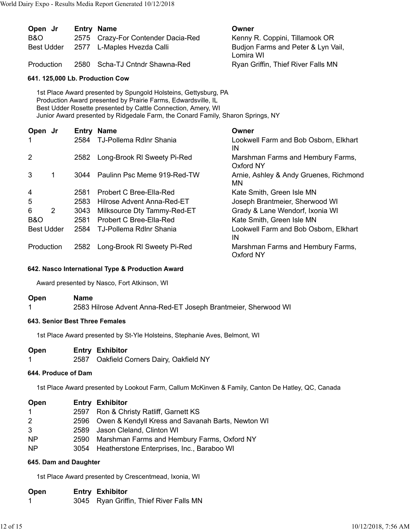| Open Jr<br>B&O<br><b>Best Udder</b> |  | <b>Entry Name</b><br>2575 Crazy-For Contender Dacia-Red<br>2577 L-Maples Hvezda Calli | Owner<br>Kenny R. Coppini, Tillamook OR<br>Budjon Farms and Peter & Lyn Vail,<br>Lomira WI |
|-------------------------------------|--|---------------------------------------------------------------------------------------|--------------------------------------------------------------------------------------------|
| Production                          |  | 2580 Scha-TJ Cntndr Shawna-Red                                                        | Ryan Griffin, Thief River Falls MN                                                         |
| 641. 125,000 Lb. Production Cow     |  |                                                                                       |                                                                                            |

1st Place Award presented by Spungold Holsteins, Gettysburg, PA Production Award presented by Prairie Farms, Edwardsville, IL Best Udder Rosette presented by Cattle Connection, Amery, WI Junior Award presented by Ridgedale Farm, the Conard Family, Sharon Springs, NY

| Open Jr           |   |      | <b>Entry Name</b>              | Owner                                               |
|-------------------|---|------|--------------------------------|-----------------------------------------------------|
| 1                 |   | 2584 | <b>TJ-Pollema RdInr Shania</b> | Lookwell Farm and Bob Osborn, Elkhart<br>IN         |
| 2                 |   | 2582 | Long-Brook RI Sweety Pi-Red    | Marshman Farms and Hembury Farms,<br>Oxford NY      |
| 3                 |   | 3044 | Paulinn Psc Meme 919-Red-TW    | Arnie, Ashley & Andy Gruenes, Richmond<br><b>MN</b> |
| $\overline{4}$    |   | 2581 | Probert C Bree-Ella-Red        | Kate Smith, Green Isle MN                           |
| 5                 |   | 2583 | Hilrose Advent Anna-Red-ET     | Joseph Brantmeier, Sherwood WI                      |
| 6                 | 2 | 3043 | Milksource Dty Tammy-Red-ET    | Grady & Lane Wendorf, Ixonia WI                     |
| <b>B&amp;O</b>    |   | 2581 | Probert C Bree-Ella-Red        | Kate Smith, Green Isle MN                           |
| <b>Best Udder</b> |   | 2584 | TJ-Pollema RdInr Shania        | Lookwell Farm and Bob Osborn, Elkhart<br>IN         |
| Production        |   | 2582 | Long-Brook RI Sweety Pi-Red    | Marshman Farms and Hembury Farms,<br>Oxford NY      |

# **642. Nasco International Type & Production Award**

Award presented by Nasco, Fort Atkinson, WI

**Open Name**

1 2583 Hilrose Advent Anna-Red-ET Joseph Brantmeier, Sherwood WI

## **643. Senior Best Three Females**

1st Place Award presented by St-Yle Holsteins, Stephanie Aves, Belmont, WI

- **Open Entry Exhibitor**
- 1 2587 Oakfield Corners Dairy, Oakfield NY

# **644. Produce of Dam**

1st Place Award presented by Lookout Farm, Callum McKinven & Family, Canton De Hatley, QC, Canada

| Open           |      | <b>Entry Exhibitor</b>                                 |
|----------------|------|--------------------------------------------------------|
| $\mathbf{1}$   | 2597 | Ron & Christy Ratliff, Garnett KS                      |
| 2              |      | 2596 Owen & Kendyll Kress and Savanah Barts, Newton WI |
| 3              |      | 2589 Jason Cleland, Clinton WI                         |
| <b>NP</b>      | 2590 | Marshman Farms and Hembury Farms, Oxford NY            |
| N <sub>P</sub> | 3054 | Heatherstone Enterprises, Inc., Baraboo WI             |

## **645. Dam and Daughter**

1st Place Award presented by Crescentmead, Ixonia, WI

# **Open Entry Exhibitor**

1 3045 Ryan Griffin, Thief River Falls MN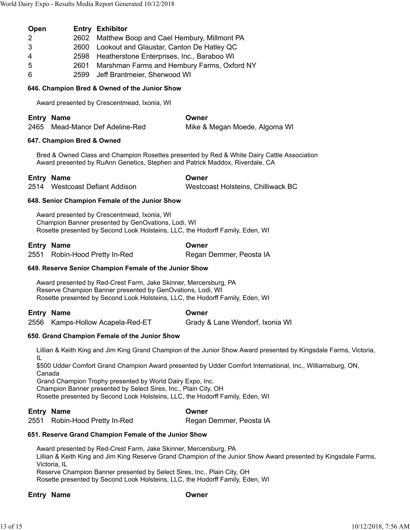| Open          | <b>Entry Exhibitor</b>                           |
|---------------|--------------------------------------------------|
| $\mathcal{P}$ | 2602 Matthew Boop and Cael Hembury, Millmont PA  |
| -3            | 2600 Lookout and Glaustar, Canton De Hatley QC   |
| 4             | 2598 Heatherstone Enterprises, Inc., Baraboo WI  |
| -5            | 2601 Marshman Farms and Hembury Farms, Oxford NY |
| 6             | 2599 Jeff Brantmeier, Sherwood WI                |

# **646. Champion Bred & Owned of the Junior Show**

Award presented by Crescentmead, Ixonia, WI

| <b>Entry Name</b>               | Owner                         |
|---------------------------------|-------------------------------|
| 2465 Mead-Manor Def Adeline-Red | Mike & Megan Moede, Algoma WI |

## **647. Champion Bred & Owned**

Bred & Owned Class and Champion Rosettes presented by Red & White Dairy Cattle Association Award presented by RuAnn Genetics, Stephen and Patrick Maddox, Riverdale, CA

# **Entry Name Owner**

2514 Westcoast Defiant Addison Westcoast Holsteins, Chilliwack BC

# **648. Senior Champion Female of the Junior Show**

Award presented by Crescentmead, Ixonia, WI Champion Banner presented by GenOvations, Lodi, WI Rosette presented by Second Look Holsteins, LLC, the Hodorff Family, Eden, WI

| <b>Entry Name</b>             | Owner                   |
|-------------------------------|-------------------------|
| 2551 Robin-Hood Pretty In-Red | Regan Demmer, Peosta IA |

# **649. Reserve Senior Champion Female of the Junior Show**

Award presented by Red-Crest Farm, Jake Skinner, Mercersburg, PA Reserve Champion Banner presented by GenOvations, Lodi, WI Rosette presented by Second Look Holsteins, LLC, the Hodorff Family, Eden, WI

| <b>Entry Name</b>                | Owner                           |
|----------------------------------|---------------------------------|
| 2556 Kamps-Hollow Acapela-Red-ET | Grady & Lane Wendorf, Ixonia WI |

# **650. Grand Champion Female of the Junior Show**

Lillian & Keith King and Jim King Grand Champion of the Junior Show Award presented by Kingsdale Farms, Victoria, IL

\$500 Udder Comfort Grand Champion Award presented by Udder Comfort International, Inc., Williamsburg, ON, Canada

Grand Champion Trophy presented by World Dairy Expo, Inc.

Champion Banner presented by Select Sires, Inc., Plain City, OH

Rosette presented by Second Look Holsteins, LLC, the Hodorff Family, Eden, WI

# **Entry Name Owner**

2551 Robin-Hood Pretty In-Red Regan Demmer, Peosta IA

## **651. Reserve Grand Champion Female of the Junior Show**

Award presented by Red-Crest Farm, Jake Skinner, Mercersburg, PA Lillian & Keith King and Jim King Reserve Grand Champion of the Junior Show Award presented by Kingsdale Farms, Victoria, IL Reserve Champion Banner presented by Select Sires, Inc., Plain City, OH

Rosette presented by Second Look Holsteins, LLC, the Hodorff Family, Eden, WI

# **Entry Name Owner**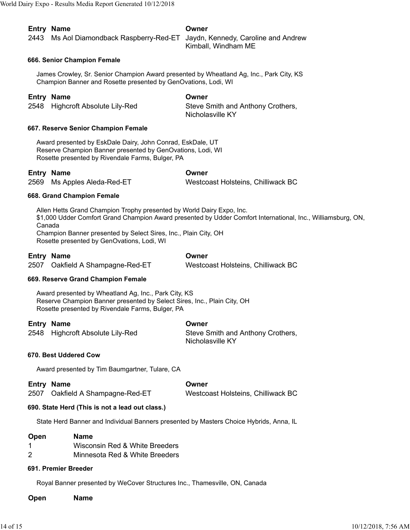| Entry Name                                                                   | Owner               |
|------------------------------------------------------------------------------|---------------------|
| 2443 Ms Aol Diamondback Raspberry-Red-ET Jaydn, Kennedy, Caroline and Andrew |                     |
|                                                                              | Kimball, Windham ME |

### **666. Senior Champion Female**

James Crowley, Sr. Senior Champion Award presented by Wheatland Ag, Inc., Park City, KS Champion Banner and Rosette presented by GenOvations, Lodi, WI

## **Entry Name Owner**

2548 Highcroft Absolute Lily-Red Steve Smith and Anthony Crothers, Nicholasville KY

#### **667. Reserve Senior Champion Female**

Award presented by EskDale Dairy, John Conrad, EskDale, UT Reserve Champion Banner presented by GenOvations, Lodi, WI Rosette presented by Rivendale Farms, Bulger, PA

#### **Entry Name Owner**

2569 Ms Apples Aleda-Red-ET Westcoast Holsteins, Chilliwack BC

#### **668. Grand Champion Female**

Allen Hetts Grand Champion Trophy presented by World Dairy Expo, Inc. \$1,000 Udder Comfort Grand Champion Award presented by Udder Comfort International, Inc., Williamsburg, ON, Canada Champion Banner presented by Select Sires, Inc., Plain City, OH

Rosette presented by GenOvations, Lodi, WI

| <b>Entry Name</b>                | Owner                              |
|----------------------------------|------------------------------------|
| 2507 Oakfield A Shampagne-Red-ET | Westcoast Holsteins, Chilliwack BC |

#### **669. Reserve Grand Champion Female**

Award presented by Wheatland Ag, Inc., Park City, KS Reserve Champion Banner presented by Select Sires, Inc., Plain City, OH Rosette presented by Rivendale Farms, Bulger, PA

| <b>Entry Name</b>                | Owner                                                 |
|----------------------------------|-------------------------------------------------------|
| 2548 Highcroft Absolute Lily-Red | Steve Smith and Anthony Crothers,<br>Nicholasville KY |

#### **670. Best Uddered Cow**

Award presented by Tim Baumgartner, Tulare, CA

**Entry Name Owner** 2507 Oakfield A Shampagne-Red-ET Westcoast Holsteins, Chilliwack BC

#### **690. State Herd (This is not a lead out class.)**

State Herd Banner and Individual Banners presented by Masters Choice Hybrids, Anna, IL

#### **Open Name**

- 1 Wisconsin Red & White Breeders
- 2 Minnesota Red & White Breeders

#### **691. Premier Breeder**

Royal Banner presented by WeCover Structures Inc., Thamesville, ON, Canada

**Open Name**